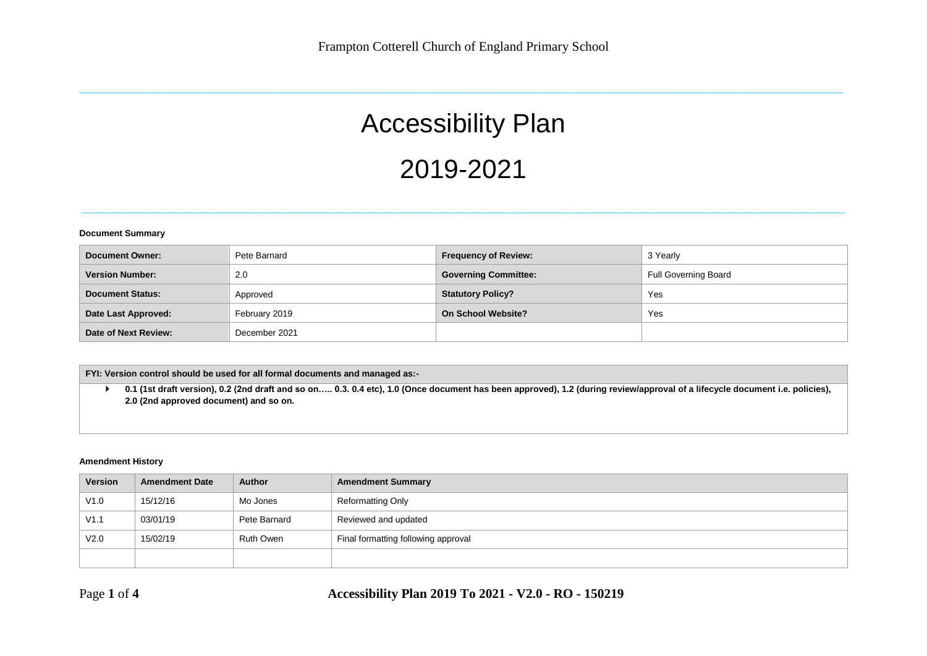**\_\_\_\_\_\_\_\_\_\_\_\_\_\_\_\_\_\_\_\_\_\_\_\_\_\_\_\_\_\_\_\_\_\_\_\_\_\_\_\_\_\_\_\_\_\_\_\_\_\_\_\_\_\_\_\_\_\_\_\_\_\_\_\_\_\_\_\_\_\_\_\_\_\_\_\_\_\_\_\_\_\_\_\_\_\_\_\_\_\_\_\_\_\_\_\_\_\_\_\_\_\_\_\_**

# Accessibility Plan 2019-2021

**\_\_\_\_\_\_\_\_\_\_\_\_\_\_\_\_\_\_\_\_\_\_\_\_\_\_\_\_\_\_\_\_\_\_\_\_\_\_\_\_\_\_\_\_\_\_\_\_\_\_\_\_\_\_\_\_\_\_\_\_\_\_\_\_\_\_\_\_\_\_\_\_\_\_\_\_\_\_\_\_\_\_\_\_\_\_\_\_\_\_\_\_\_\_\_\_\_\_\_\_\_\_\_\_**

#### **Document Summary**

| Document Owner:         | Pete Barnard  | <b>Frequency of Review:</b> | 3 Yearly                    |
|-------------------------|---------------|-----------------------------|-----------------------------|
| <b>Version Number:</b>  | 2.0           | <b>Governing Committee:</b> | <b>Full Governing Board</b> |
| <b>Document Status:</b> | Approved      | <b>Statutory Policy?</b>    | Yes                         |
| Date Last Approved:     | February 2019 | <b>On School Website?</b>   | Yes                         |
| Date of Next Review:    | December 2021 |                             |                             |

**FYI: Version control should be used for all formal documents and managed as:-**

 **0.1 (1st draft version), 0.2 (2nd draft and so on….. 0.3. 0.4 etc), 1.0 (Once document has been approved), 1.2 (during review/approval of a lifecycle document i.e. policies), 2.0 (2nd approved document) and so on.**

#### **Amendment History**

| Version | <b>Amendment Date</b> | <b>Author</b> | <b>Amendment Summary</b>            |
|---------|-----------------------|---------------|-------------------------------------|
| V1.0    | 15/12/16              | Mo Jones      | <b>Reformatting Only</b>            |
| V1.1    | 03/01/19              | Pete Barnard  | Reviewed and updated                |
| V2.0    | 15/02/19              | Ruth Owen     | Final formatting following approval |
|         |                       |               |                                     |

Page **1** of **4 Accessibility Plan 2019 To 2021 - V2.0 - RO - 150219**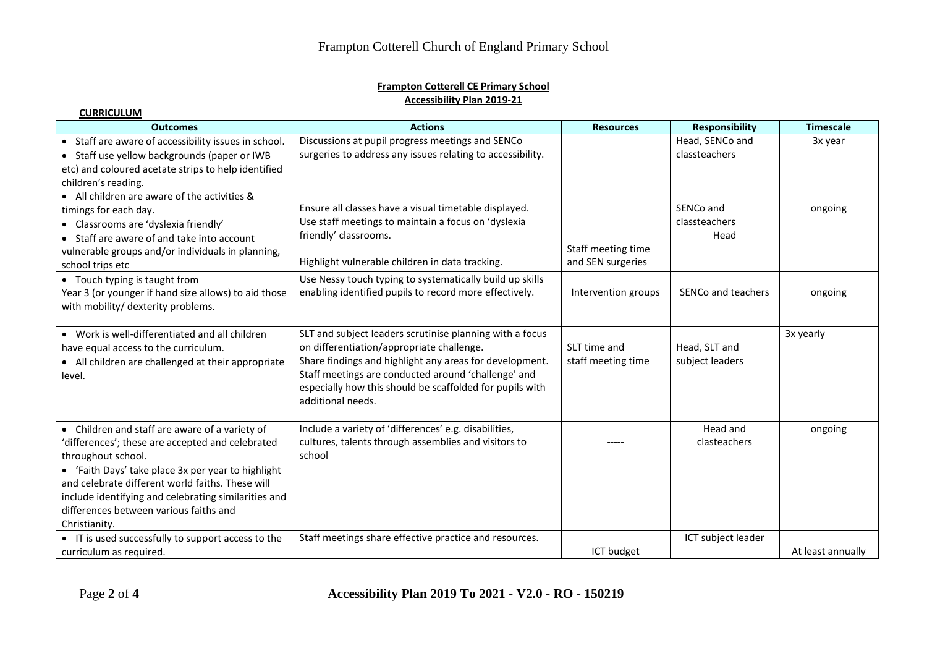## **Frampton Cotterell CE Primary School Accessibility Plan 2019-21**

| <b>Outcomes</b>                                                                                                                                                                                                                                                                                                                                       | <b>Actions</b>                                                                                                                                                                                                                                                                                           | <b>Resources</b>                        | <b>Responsibility</b>              | <b>Timescale</b>  |
|-------------------------------------------------------------------------------------------------------------------------------------------------------------------------------------------------------------------------------------------------------------------------------------------------------------------------------------------------------|----------------------------------------------------------------------------------------------------------------------------------------------------------------------------------------------------------------------------------------------------------------------------------------------------------|-----------------------------------------|------------------------------------|-------------------|
| • Staff are aware of accessibility issues in school.<br>• Staff use yellow backgrounds (paper or IWB<br>etc) and coloured acetate strips to help identified<br>children's reading.                                                                                                                                                                    | Discussions at pupil progress meetings and SENCo<br>surgeries to address any issues relating to accessibility.                                                                                                                                                                                           |                                         | Head, SENCo and<br>classteachers   | 3x year           |
| • All children are aware of the activities &<br>timings for each day.<br>• Classrooms are 'dyslexia friendly'<br>• Staff are aware of and take into account<br>vulnerable groups and/or individuals in planning,<br>school trips etc                                                                                                                  | Ensure all classes have a visual timetable displayed.<br>Use staff meetings to maintain a focus on 'dyslexia<br>friendly' classrooms.<br>Highlight vulnerable children in data tracking.                                                                                                                 | Staff meeting time<br>and SEN surgeries | SENCo and<br>classteachers<br>Head | ongoing           |
| • Touch typing is taught from<br>Year 3 (or younger if hand size allows) to aid those<br>with mobility/ dexterity problems.                                                                                                                                                                                                                           | Use Nessy touch typing to systematically build up skills<br>enabling identified pupils to record more effectively.                                                                                                                                                                                       | Intervention groups                     | SENCo and teachers                 | ongoing           |
| • Work is well-differentiated and all children<br>have equal access to the curriculum.<br>• All children are challenged at their appropriate<br>level.                                                                                                                                                                                                | SLT and subject leaders scrutinise planning with a focus<br>on differentiation/appropriate challenge.<br>Share findings and highlight any areas for development.<br>Staff meetings are conducted around 'challenge' and<br>especially how this should be scaffolded for pupils with<br>additional needs. | SLT time and<br>staff meeting time      | Head, SLT and<br>subject leaders   | 3x yearly         |
| • Children and staff are aware of a variety of<br>'differences'; these are accepted and celebrated<br>throughout school.<br>• 'Faith Days' take place 3x per year to highlight<br>and celebrate different world faiths. These will<br>include identifying and celebrating similarities and<br>differences between various faiths and<br>Christianity. | Include a variety of 'differences' e.g. disabilities,<br>cultures, talents through assemblies and visitors to<br>school                                                                                                                                                                                  |                                         | Head and<br>clasteachers           | ongoing           |
| • IT is used successfully to support access to the<br>curriculum as required.                                                                                                                                                                                                                                                                         | Staff meetings share effective practice and resources.                                                                                                                                                                                                                                                   | ICT budget                              | ICT subject leader                 | At least annually |

**CURRICULUM**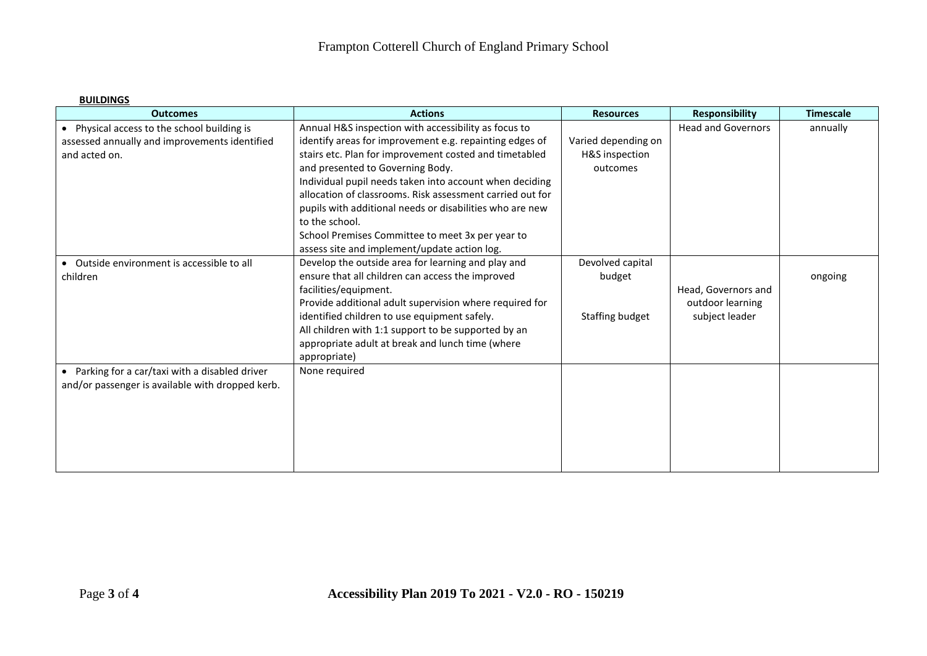## **BUILDINGS**

| <b>Outcomes</b>                                  | <b>Actions</b>                                            | <b>Resources</b>    | <b>Responsibility</b>     | <b>Timescale</b> |
|--------------------------------------------------|-----------------------------------------------------------|---------------------|---------------------------|------------------|
| • Physical access to the school building is      | Annual H&S inspection with accessibility as focus to      |                     | <b>Head and Governors</b> | annually         |
| assessed annually and improvements identified    | identify areas for improvement e.g. repainting edges of   | Varied depending on |                           |                  |
| and acted on.                                    | stairs etc. Plan for improvement costed and timetabled    | H&S inspection      |                           |                  |
|                                                  | and presented to Governing Body.                          | outcomes            |                           |                  |
|                                                  | Individual pupil needs taken into account when deciding   |                     |                           |                  |
|                                                  | allocation of classrooms. Risk assessment carried out for |                     |                           |                  |
|                                                  | pupils with additional needs or disabilities who are new  |                     |                           |                  |
|                                                  | to the school.                                            |                     |                           |                  |
|                                                  | School Premises Committee to meet 3x per year to          |                     |                           |                  |
|                                                  | assess site and implement/update action log.              |                     |                           |                  |
| • Outside environment is accessible to all       | Develop the outside area for learning and play and        | Devolved capital    |                           |                  |
| children                                         | ensure that all children can access the improved          | budget              |                           | ongoing          |
|                                                  | facilities/equipment.                                     |                     | Head, Governors and       |                  |
|                                                  | Provide additional adult supervision where required for   |                     | outdoor learning          |                  |
|                                                  | identified children to use equipment safely.              | Staffing budget     | subject leader            |                  |
|                                                  | All children with 1:1 support to be supported by an       |                     |                           |                  |
|                                                  | appropriate adult at break and lunch time (where          |                     |                           |                  |
|                                                  | appropriate)                                              |                     |                           |                  |
| • Parking for a car/taxi with a disabled driver  | None required                                             |                     |                           |                  |
| and/or passenger is available with dropped kerb. |                                                           |                     |                           |                  |
|                                                  |                                                           |                     |                           |                  |
|                                                  |                                                           |                     |                           |                  |
|                                                  |                                                           |                     |                           |                  |
|                                                  |                                                           |                     |                           |                  |
|                                                  |                                                           |                     |                           |                  |
|                                                  |                                                           |                     |                           |                  |